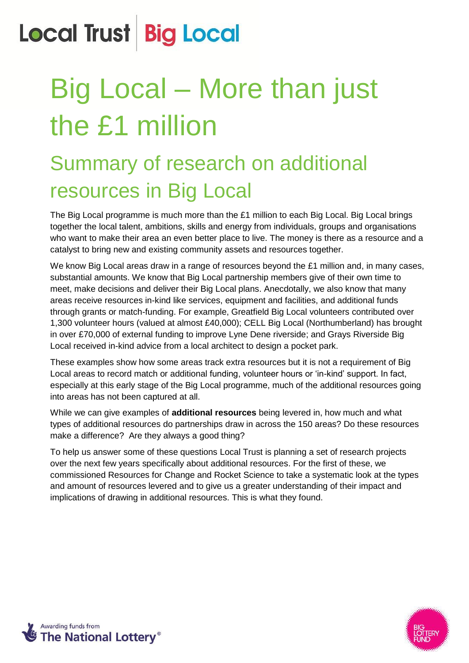# Big Local – More than just the £1 million

### Summary of research on additional resources in Big Local

The Big Local programme is much more than the £1 million to each Big Local. Big Local brings together the local talent, ambitions, skills and energy from individuals, groups and organisations who want to make their area an even better place to live. The money is there as a resource and a catalyst to bring new and existing community assets and resources together.

We know Big Local areas draw in a range of resources beyond the £1 million and, in many cases, substantial amounts. We know that Big Local partnership members give of their own time to meet, make decisions and deliver their Big Local plans. Anecdotally, we also know that many areas receive resources in-kind like services, equipment and facilities, and additional funds through grants or match-funding. For example, Greatfield Big Local volunteers contributed over 1,300 volunteer hours (valued at almost £40,000); CELL Big Local (Northumberland) has brought in over £70,000 of external funding to improve Lyne Dene riverside; and Grays Riverside Big Local received in-kind advice from a local architect to design a pocket park.

These examples show how some areas track extra resources but it is not a requirement of Big Local areas to record match or additional funding, volunteer hours or 'in-kind' support. In fact, especially at this early stage of the Big Local programme, much of the additional resources going into areas has not been captured at all.

While we can give examples of **additional resources** being levered in, how much and what types of additional resources do partnerships draw in across the 150 areas? Do these resources make a difference? Are they always a good thing?

To help us answer some of these questions Local Trust is planning a set of research projects over the next few years specifically about additional resources. For the first of these, we commissioned Resources for Change and Rocket Science to take a systematic look at the types and amount of resources levered and to give us a greater understanding of their impact and implications of drawing in additional resources. This is what they found.



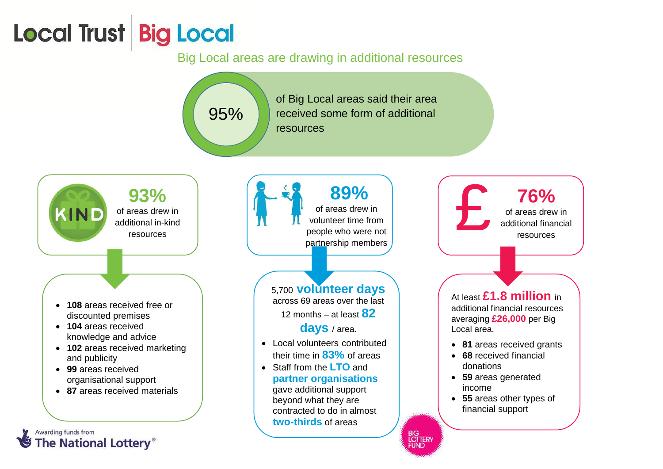#### Big Local areas are drawing in additional resources

of Big Local areas said their area received some form of additional resources



95%

 **108** areas received free or discounted premises

- **104** areas received knowledge and advice
- **102** areas received marketing and publicity
- **99** areas received organisational support
- **87** areas received materials

#### $\begin{array}{|c|c|}\n\hline\n\text{A} & \text{89\%} \\
\text{of areas drew in volume} & \text{volume from people who were not performed on the surface.}\n\hline\n\end{array}$ **89%**  of areas drew in volunteer time from people who were not partnership members

#### 5,700 **volunteer days**

across 69 areas over the last 12 months – at least **82** 

**days** / area.

- Local volunteers contributed their time in **83%** of areas
- Staff from the **LTO** and **partner organisations** gave additional support beyond what they are contracted to do in almost **two-thirds** of areas

BIG<br>LOTTERY<br>FUND

**76%** of areas drew in additional financial resources At least **£1.8 million** in additional financial resources averaging **£26,000** per Big Local area. **81** areas received grants **68** received financial donations **59** areas generated income **55** areas other types of financial support

Awarding funds from **The National Lottery®**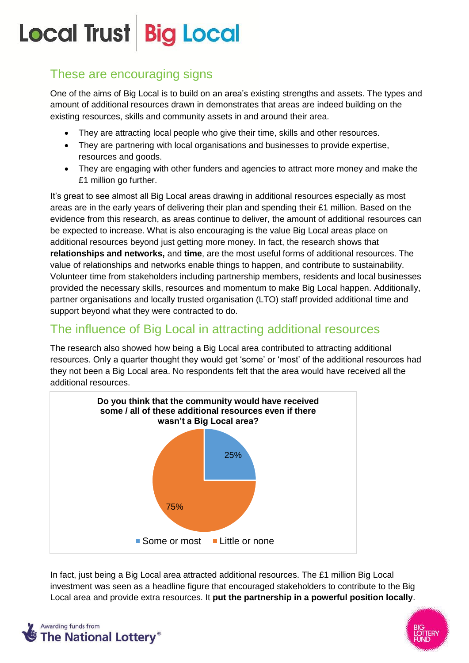#### These are encouraging signs

One of the aims of Big Local is to build on an area's existing strengths and assets. The types and amount of additional resources drawn in demonstrates that areas are indeed building on the existing resources, skills and community assets in and around their area.

- They are attracting local people who give their time, skills and other resources.
- They are partnering with local organisations and businesses to provide expertise, resources and goods.
- They are engaging with other funders and agencies to attract more money and make the £1 million go further.

It's great to see almost all Big Local areas drawing in additional resources especially as most areas are in the early years of delivering their plan and spending their £1 million. Based on the evidence from this research, as areas continue to deliver, the amount of additional resources can be expected to increase. What is also encouraging is the value Big Local areas place on additional resources beyond just getting more money. In fact, the research shows that **relationships and networks,** and **time**, are the most useful forms of additional resources. The value of relationships and networks enable things to happen, and contribute to sustainability. Volunteer time from stakeholders including partnership members, residents and local businesses provided the necessary skills, resources and momentum to make Big Local happen. Additionally, partner organisations and locally trusted organisation (LTO) staff provided additional time and support beyond what they were contracted to do.

#### The influence of Big Local in attracting additional resources

The research also showed how being a Big Local area contributed to attracting additional resources. Only a quarter thought they would get 'some' or 'most' of the additional resources had they not been a Big Local area. No respondents felt that the area would have received all the additional resources.



In fact, just being a Big Local area attracted additional resources. The £1 million Big Local investment was seen as a headline figure that encouraged stakeholders to contribute to the Big Local area and provide extra resources. It **put the partnership in a powerful position locally**.



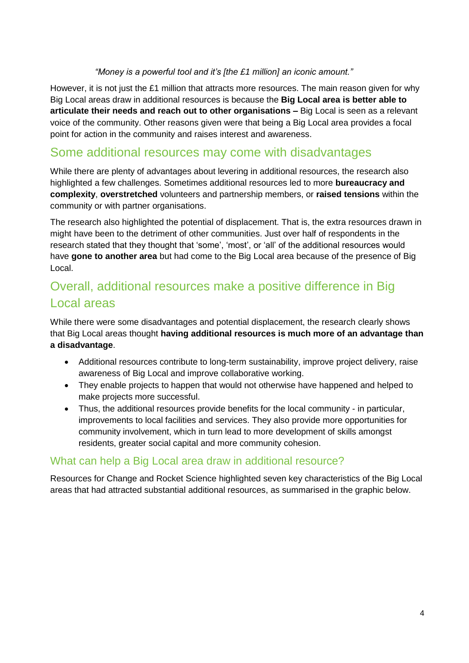#### *"Money is a powerful tool and it's [the £1 million] an iconic amount."*

However, it is not just the £1 million that attracts more resources. The main reason given for why Big Local areas draw in additional resources is because the **Big Local area is better able to articulate their needs and reach out to other organisations –** Big Local is seen as a relevant voice of the community. Other reasons given were that being a Big Local area provides a focal point for action in the community and raises interest and awareness.

#### Some additional resources may come with disadvantages

While there are plenty of advantages about levering in additional resources, the research also highlighted a few challenges. Sometimes additional resources led to more **bureaucracy and complexity**, **overstretched** volunteers and partnership members, or **raised tensions** within the community or with partner organisations.

The research also highlighted the potential of displacement. That is, the extra resources drawn in might have been to the detriment of other communities. Just over half of respondents in the research stated that they thought that 'some', 'most', or 'all' of the additional resources would have **gone to another area** but had come to the Big Local area because of the presence of Big Local.

#### Overall, additional resources make a positive difference in Big Local areas

While there were some disadvantages and potential displacement, the research clearly shows that Big Local areas thought **having additional resources is much more of an advantage than a disadvantage**.

- Additional resources contribute to long-term sustainability, improve project delivery, raise awareness of Big Local and improve collaborative working.
- They enable projects to happen that would not otherwise have happened and helped to make projects more successful.
- Thus, the additional resources provide benefits for the local community in particular, improvements to local facilities and services. They also provide more opportunities for community involvement, which in turn lead to more development of skills amongst residents, greater social capital and more community cohesion.

#### What can help a Big Local area draw in additional resource?

Resources for Change and Rocket Science highlighted seven key characteristics of the Big Local areas that had attracted substantial additional resources, as summarised in the graphic below.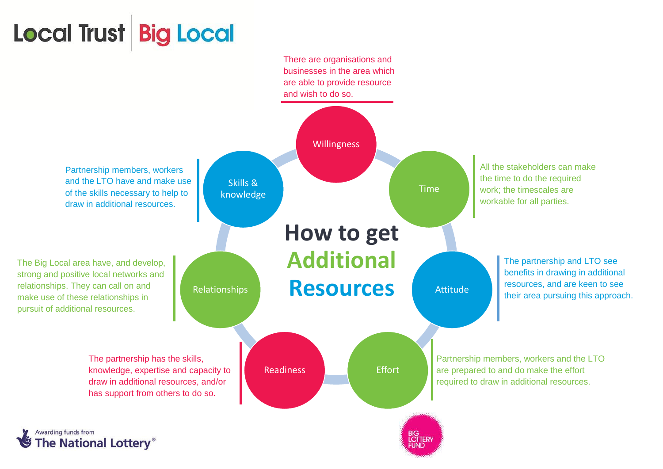